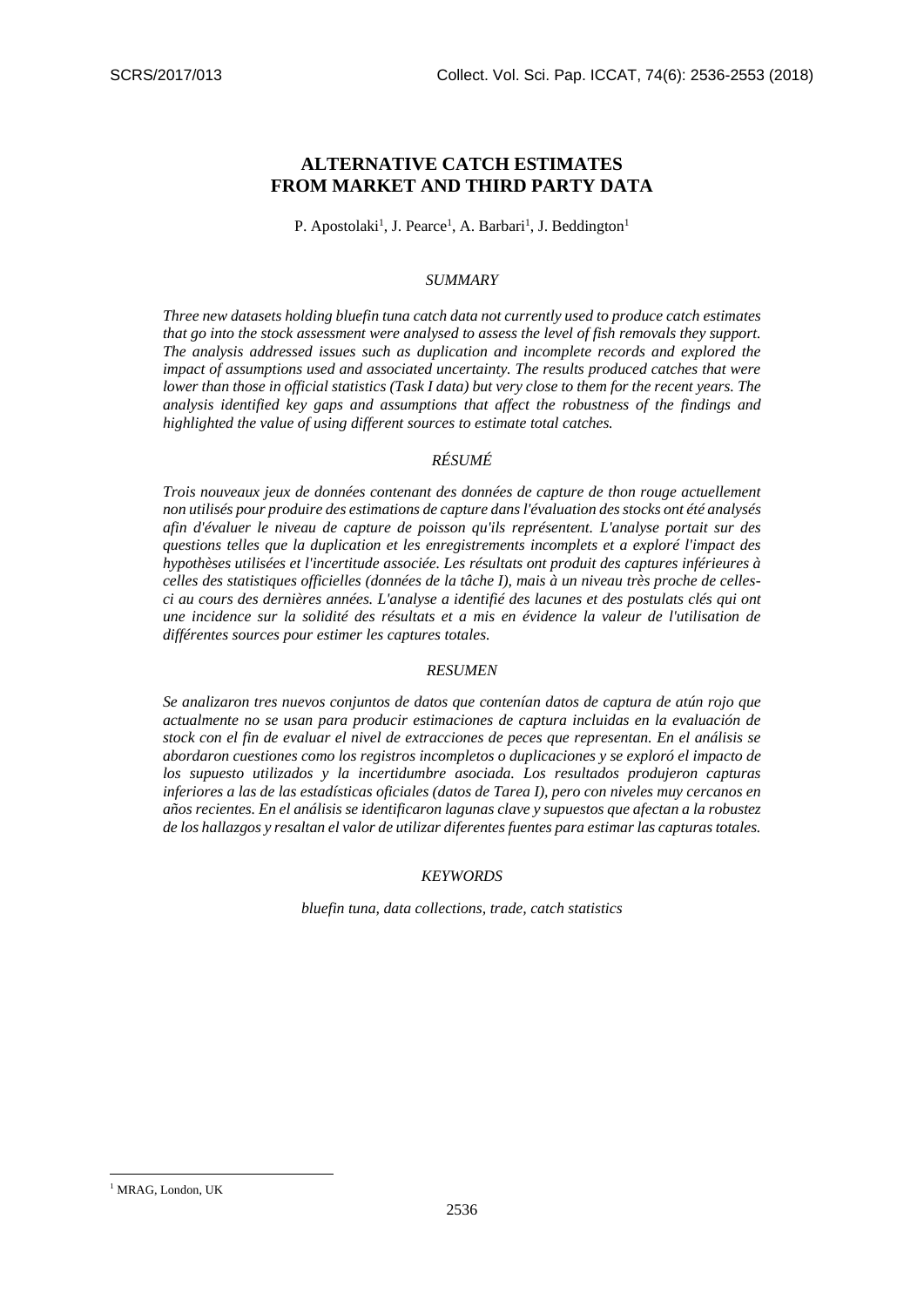# **ALTERNATIVE CATCH ESTIMATES FROM MARKET AND THIRD PARTY DATA**

P. Apostolaki<sup>1</sup>, J. Pearce<sup>1</sup>, A. Barbari<sup>1</sup>, J. Beddington<sup>1</sup>

## *SUMMARY*

*Three new datasets holding bluefin tuna catch data not currently used to produce catch estimates that go into the stock assessment were analysed to assess the level of fish removals they support. The analysis addressed issues such as duplication and incomplete records and explored the impact of assumptions used and associated uncertainty. The results produced catches that were lower than those in official statistics (Task I data) but very close to them for the recent years. The analysis identified key gaps and assumptions that affect the robustness of the findings and highlighted the value of using different sources to estimate total catches.* 

## *RÉSUMÉ*

*Trois nouveaux jeux de données contenant des données de capture de thon rouge actuellement non utilisés pour produire des estimations de capture dans l'évaluation des stocks ont été analysés afin d'évaluer le niveau de capture de poisson qu'ils représentent. L'analyse portait sur des questions telles que la duplication et les enregistrements incomplets et a exploré l'impact des hypothèses utilisées et l'incertitude associée. Les résultats ont produit des captures inférieures à celles des statistiques officielles (données de la tâche I), mais à un niveau très proche de cellesci au cours des dernières années. L'analyse a identifié des lacunes et des postulats clés qui ont une incidence sur la solidité des résultats et a mis en évidence la valeur de l'utilisation de différentes sources pour estimer les captures totales.*

## *RESUMEN*

*Se analizaron tres nuevos conjuntos de datos que contenían datos de captura de atún rojo que actualmente no se usan para producir estimaciones de captura incluidas en la evaluación de stock con el fin de evaluar el nivel de extracciones de peces que representan. En el análisis se abordaron cuestiones como los registros incompletos o duplicaciones y se exploró el impacto de los supuesto utilizados y la incertidumbre asociada. Los resultados produjeron capturas inferiores a las de las estadísticas oficiales (datos de Tarea I), pero con niveles muy cercanos en años recientes. En el análisis se identificaron lagunas clave y supuestos que afectan a la robustez de los hallazgos y resaltan el valor de utilizar diferentes fuentes para estimar las capturas totales.* 

## *KEYWORDS*

*bluefin tuna, data collections, trade, catch statistics*

**.** 

<sup>&</sup>lt;sup>1</sup> MRAG, London, UK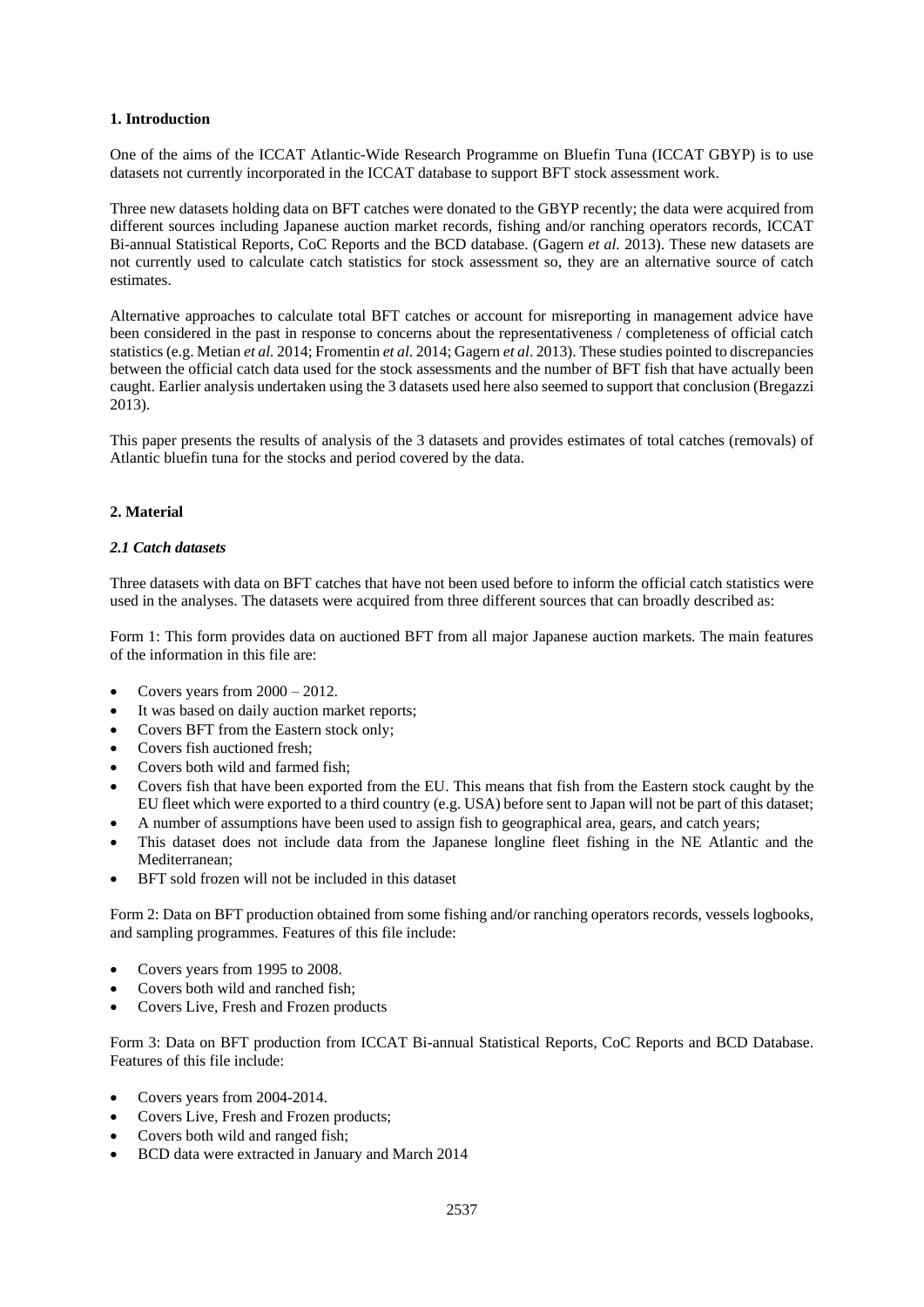## **1. Introduction**

One of the aims of the ICCAT Atlantic-Wide Research Programme on Bluefin Tuna (ICCAT GBYP) is to use datasets not currently incorporated in the ICCAT database to support BFT stock assessment work.

Three new datasets holding data on BFT catches were donated to the GBYP recently; the data were acquired from different sources including Japanese auction market records, fishing and/or ranching operators records, ICCAT Bi-annual Statistical Reports, CoC Reports and the BCD database. (Gagern *et al.* 2013). These new datasets are not currently used to calculate catch statistics for stock assessment so, they are an alternative source of catch estimates.

Alternative approaches to calculate total BFT catches or account for misreporting in management advice have been considered in the past in response to concerns about the representativeness / completeness of official catch statistics (e.g. Metian *et al.* 2014; Fromentin *et al*. 2014; Gagern *et al*. 2013). These studies pointed to discrepancies between the official catch data used for the stock assessments and the number of BFT fish that have actually been caught. Earlier analysis undertaken using the 3 datasets used here also seemed to support that conclusion (Bregazzi 2013).

This paper presents the results of analysis of the 3 datasets and provides estimates of total catches (removals) of Atlantic bluefin tuna for the stocks and period covered by the data.

#### **2. Material**

#### *2.1 Catch datasets*

Three datasets with data on BFT catches that have not been used before to inform the official catch statistics were used in the analyses. The datasets were acquired from three different sources that can broadly described as:

Form 1: This form provides data on auctioned BFT from all major Japanese auction markets. The main features of the information in this file are:

- Covers years from 2000 2012.
- It was based on daily auction market reports;
- Covers BFT from the Eastern stock only;
- Covers fish auctioned fresh;
- Covers both wild and farmed fish;
- Covers fish that have been exported from the EU. This means that fish from the Eastern stock caught by the EU fleet which were exported to a third country (e.g. USA) before sent to Japan will not be part of this dataset;
- A number of assumptions have been used to assign fish to geographical area, gears, and catch years;
- This dataset does not include data from the Japanese longline fleet fishing in the NE Atlantic and the Mediterranean;
- BFT sold frozen will not be included in this dataset

Form 2: Data on BFT production obtained from some fishing and/or ranching operators records, vessels logbooks, and sampling programmes. Features of this file include:

- Covers years from 1995 to 2008.
- Covers both wild and ranched fish;
- Covers Live, Fresh and Frozen products

Form 3: Data on BFT production from ICCAT Bi-annual Statistical Reports, CoC Reports and BCD Database. Features of this file include:

- Covers years from 2004-2014.
- Covers Live, Fresh and Frozen products;
- Covers both wild and ranged fish;
- BCD data were extracted in January and March 2014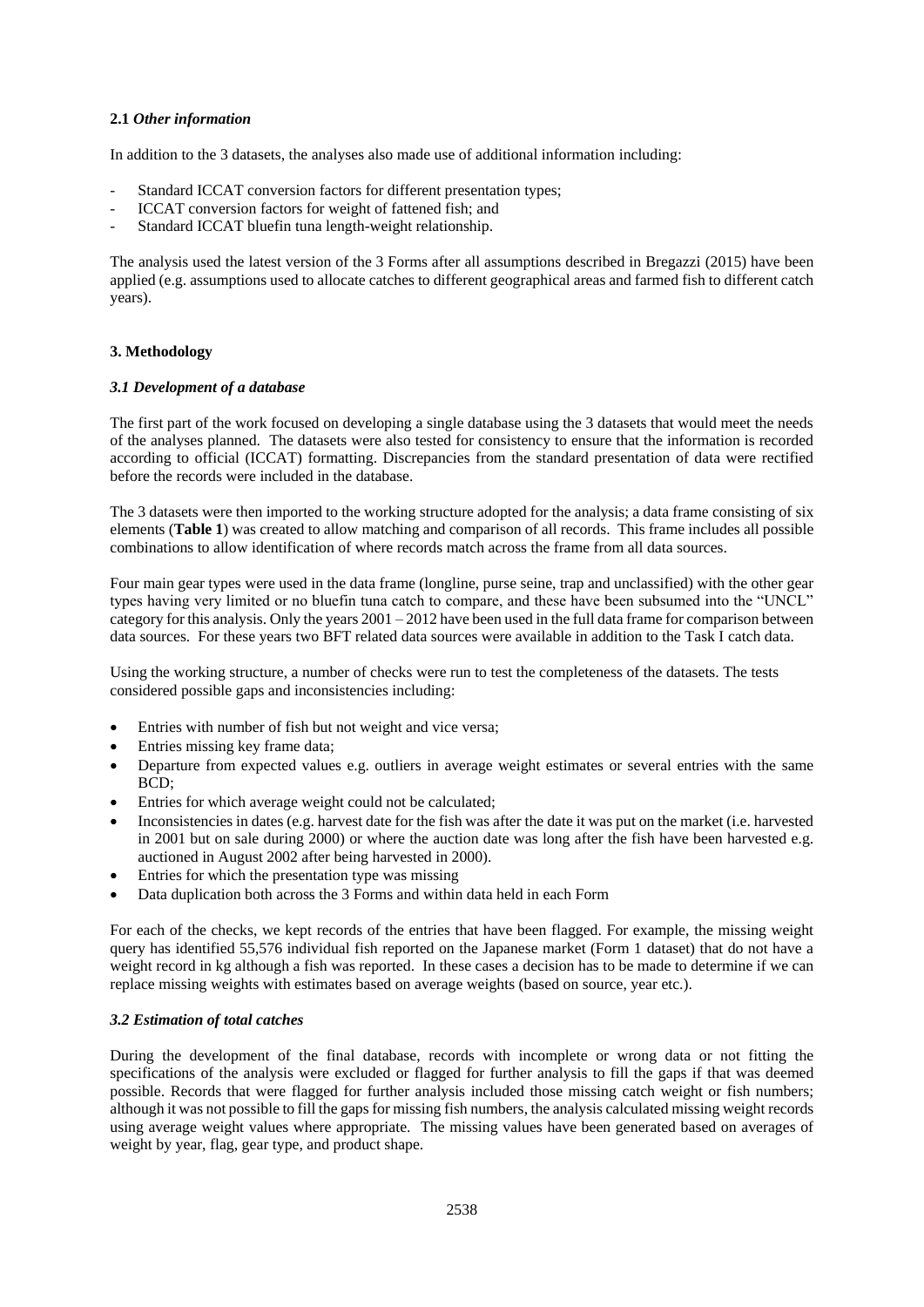## **2.1** *Other information*

In addition to the 3 datasets, the analyses also made use of additional information including:

- Standard ICCAT conversion factors for different presentation types;
- ICCAT conversion factors for weight of fattened fish; and
- Standard ICCAT bluefin tuna length-weight relationship.

The analysis used the latest version of the 3 Forms after all assumptions described in Bregazzi (2015) have been applied (e.g. assumptions used to allocate catches to different geographical areas and farmed fish to different catch years).

## **3. Methodology**

## *3.1 Development of a database*

The first part of the work focused on developing a single database using the 3 datasets that would meet the needs of the analyses planned. The datasets were also tested for consistency to ensure that the information is recorded according to official (ICCAT) formatting. Discrepancies from the standard presentation of data were rectified before the records were included in the database.

The 3 datasets were then imported to the working structure adopted for the analysis; a data frame consisting of six elements (**Table 1**) was created to allow matching and comparison of all records. This frame includes all possible combinations to allow identification of where records match across the frame from all data sources.

Four main gear types were used in the data frame (longline, purse seine, trap and unclassified) with the other gear types having very limited or no bluefin tuna catch to compare, and these have been subsumed into the "UNCL" category for this analysis. Only the years  $2001 - 2012$  have been used in the full data frame for comparison between data sources. For these years two BFT related data sources were available in addition to the Task I catch data.

Using the working structure, a number of checks were run to test the completeness of the datasets. The tests considered possible gaps and inconsistencies including:

- Entries with number of fish but not weight and vice versa;
- Entries missing key frame data;
- Departure from expected values e.g. outliers in average weight estimates or several entries with the same BCD;
- Entries for which average weight could not be calculated;
- Inconsistencies in dates (e.g. harvest date for the fish was after the date it was put on the market (i.e. harvested in 2001 but on sale during 2000) or where the auction date was long after the fish have been harvested e.g. auctioned in August 2002 after being harvested in 2000).
- Entries for which the presentation type was missing
- Data duplication both across the 3 Forms and within data held in each Form

For each of the checks, we kept records of the entries that have been flagged. For example, the missing weight query has identified 55,576 individual fish reported on the Japanese market (Form 1 dataset) that do not have a weight record in kg although a fish was reported. In these cases a decision has to be made to determine if we can replace missing weights with estimates based on average weights (based on source, year etc.).

## *3.2 Estimation of total catches*

During the development of the final database, records with incomplete or wrong data or not fitting the specifications of the analysis were excluded or flagged for further analysis to fill the gaps if that was deemed possible. Records that were flagged for further analysis included those missing catch weight or fish numbers; although it was not possible to fill the gaps for missing fish numbers, the analysis calculated missing weight records using average weight values where appropriate. The missing values have been generated based on averages of weight by year, flag, gear type, and product shape.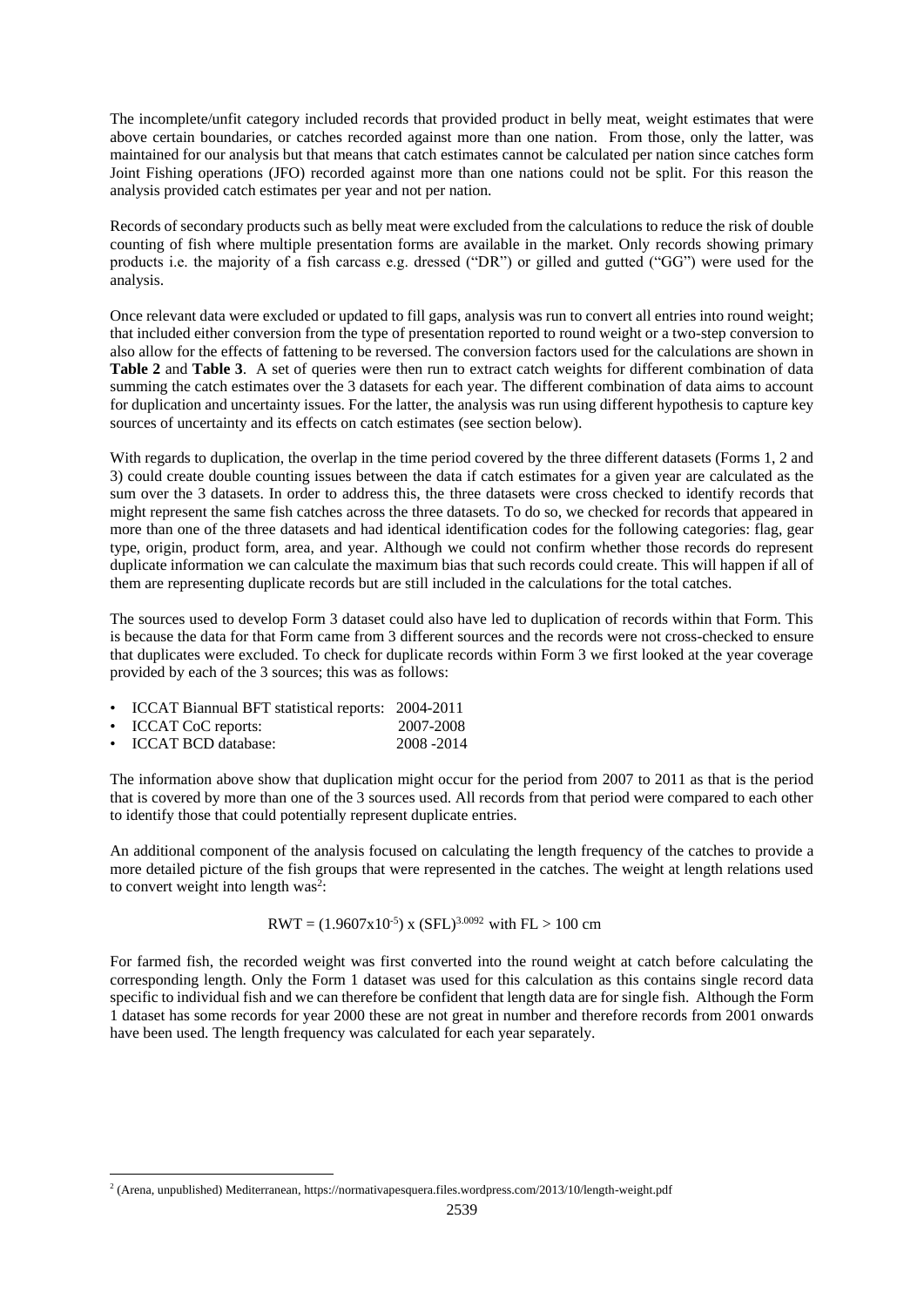The incomplete/unfit category included records that provided product in belly meat, weight estimates that were above certain boundaries, or catches recorded against more than one nation. From those, only the latter, was maintained for our analysis but that means that catch estimates cannot be calculated per nation since catches form Joint Fishing operations (JFO) recorded against more than one nations could not be split. For this reason the analysis provided catch estimates per year and not per nation.

Records of secondary products such as belly meat were excluded from the calculations to reduce the risk of double counting of fish where multiple presentation forms are available in the market. Only records showing primary products i.e. the majority of a fish carcass e.g. dressed ("DR") or gilled and gutted ("GG") were used for the analysis.

Once relevant data were excluded or updated to fill gaps, analysis was run to convert all entries into round weight; that included either conversion from the type of presentation reported to round weight or a two-step conversion to also allow for the effects of fattening to be reversed. The conversion factors used for the calculations are shown in **Table 2** and **Table 3**. A set of queries were then run to extract catch weights for different combination of data summing the catch estimates over the 3 datasets for each year. The different combination of data aims to account for duplication and uncertainty issues. For the latter, the analysis was run using different hypothesis to capture key sources of uncertainty and its effects on catch estimates (see section below).

With regards to duplication, the overlap in the time period covered by the three different datasets (Forms 1, 2 and 3) could create double counting issues between the data if catch estimates for a given year are calculated as the sum over the 3 datasets. In order to address this, the three datasets were cross checked to identify records that might represent the same fish catches across the three datasets. To do so, we checked for records that appeared in more than one of the three datasets and had identical identification codes for the following categories: flag, gear type, origin, product form, area, and year. Although we could not confirm whether those records do represent duplicate information we can calculate the maximum bias that such records could create. This will happen if all of them are representing duplicate records but are still included in the calculations for the total catches.

The sources used to develop Form 3 dataset could also have led to duplication of records within that Form. This is because the data for that Form came from 3 different sources and the records were not cross-checked to ensure that duplicates were excluded. To check for duplicate records within Form 3 we first looked at the year coverage provided by each of the 3 sources; this was as follows:

|  | ICCAT Biannual BFT statistical reports: 2004-2011 |  |
|--|---------------------------------------------------|--|
|  |                                                   |  |

|  | <b>ICCAT CoC</b> reports: | 2007-2008 |
|--|---------------------------|-----------|
|--|---------------------------|-----------|

• ICCAT BCD database: 2008 -2014

**.** 

The information above show that duplication might occur for the period from 2007 to 2011 as that is the period that is covered by more than one of the 3 sources used. All records from that period were compared to each other to identify those that could potentially represent duplicate entries.

An additional component of the analysis focused on calculating the length frequency of the catches to provide a more detailed picture of the fish groups that were represented in the catches. The weight at length relations used to convert weight into length  $was^2$ :

$$
RWT = (1.9607 \times 10^{-5}) \times (SFL)^{3.0092}
$$
 with FL > 100 cm

For farmed fish, the recorded weight was first converted into the round weight at catch before calculating the corresponding length. Only the Form 1 dataset was used for this calculation as this contains single record data specific to individual fish and we can therefore be confident that length data are for single fish. Although the Form 1 dataset has some records for year 2000 these are not great in number and therefore records from 2001 onwards have been used. The length frequency was calculated for each year separately.

<sup>2</sup> (Arena, unpublished) Mediterranean,<https://normativapesquera.files.wordpress.com/2013/10/length-weight.pdf>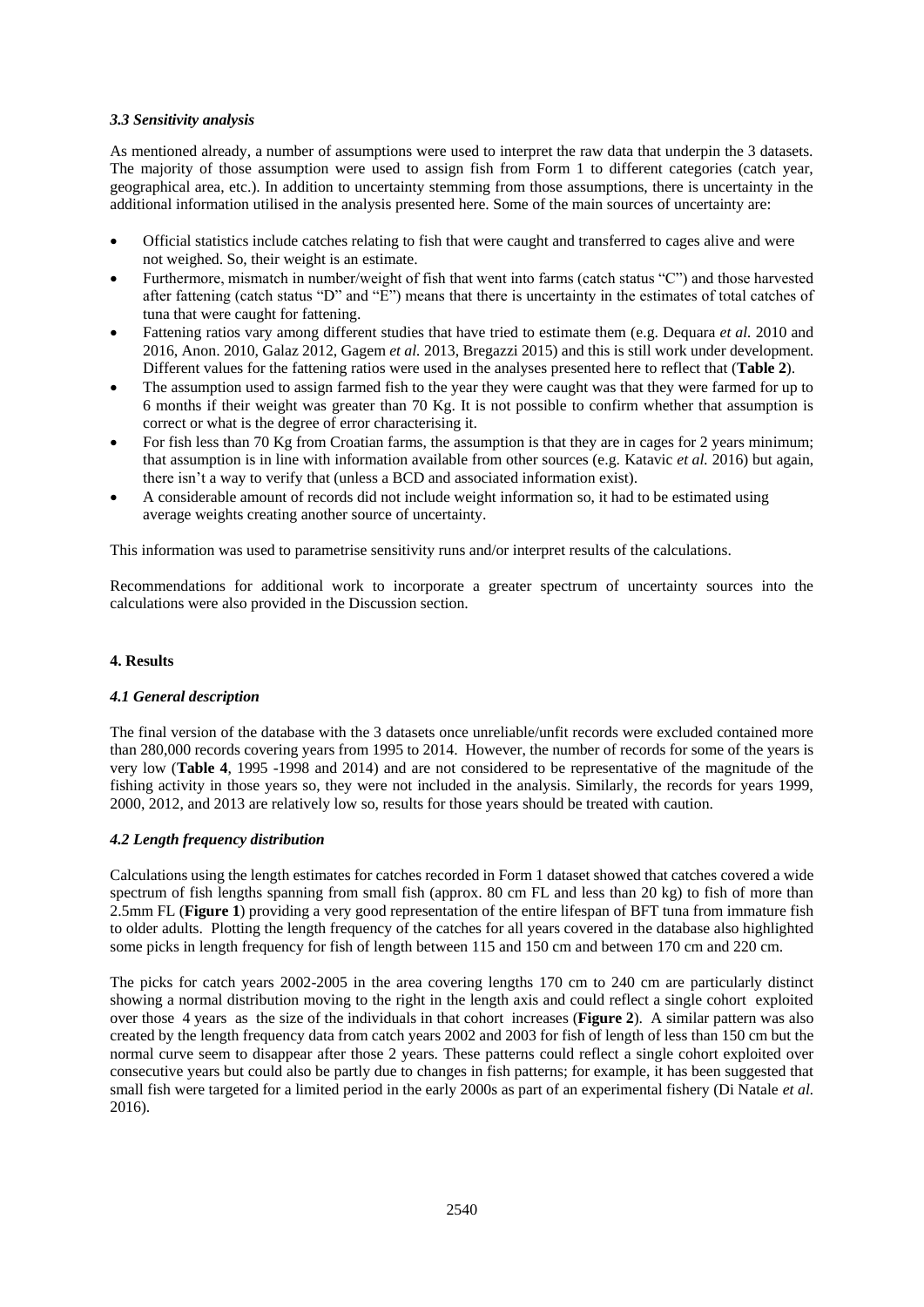## *3.3 Sensitivity analysis*

As mentioned already, a number of assumptions were used to interpret the raw data that underpin the 3 datasets. The majority of those assumption were used to assign fish from Form 1 to different categories (catch year, geographical area, etc.). In addition to uncertainty stemming from those assumptions, there is uncertainty in the additional information utilised in the analysis presented here. Some of the main sources of uncertainty are:

- Official statistics include catches relating to fish that were caught and transferred to cages alive and were not weighed. So, their weight is an estimate.
- Furthermore, mismatch in number/weight of fish that went into farms (catch status "C") and those harvested after fattening (catch status "D" and "E") means that there is uncertainty in the estimates of total catches of tuna that were caught for fattening.
- Fattening ratios vary among different studies that have tried to estimate them (e.g. Dequara *et al.* 2010 and 2016, Anon. 2010, Galaz 2012, Gagem *et al.* 2013, Bregazzi 2015) and this is still work under development. Different values for the fattening ratios were used in the analyses presented here to reflect that (**Table 2**).
- The assumption used to assign farmed fish to the year they were caught was that they were farmed for up to 6 months if their weight was greater than 70 Kg. It is not possible to confirm whether that assumption is correct or what is the degree of error characterising it.
- For fish less than 70 Kg from Croatian farms, the assumption is that they are in cages for 2 years minimum; that assumption is in line with information available from other sources (e.g. Katavic *et al.* 2016) but again, there isn't a way to verify that (unless a BCD and associated information exist).
- A considerable amount of records did not include weight information so, it had to be estimated using average weights creating another source of uncertainty.

This information was used to parametrise sensitivity runs and/or interpret results of the calculations.

Recommendations for additional work to incorporate a greater spectrum of uncertainty sources into the calculations were also provided in the Discussion section.

## **4. Results**

## *4.1 General description*

The final version of the database with the 3 datasets once unreliable/unfit records were excluded contained more than 280,000 records covering years from 1995 to 2014. However, the number of records for some of the years is very low (**Table 4**, 1995 -1998 and 2014) and are not considered to be representative of the magnitude of the fishing activity in those years so, they were not included in the analysis. Similarly, the records for years 1999, 2000, 2012, and 2013 are relatively low so, results for those years should be treated with caution.

## *4.2 Length frequency distribution*

Calculations using the length estimates for catches recorded in Form 1 dataset showed that catches covered a wide spectrum of fish lengths spanning from small fish (approx. 80 cm FL and less than 20 kg) to fish of more than 2.5mm FL (**Figure 1**) providing a very good representation of the entire lifespan of BFT tuna from immature fish to older adults. Plotting the length frequency of the catches for all years covered in the database also highlighted some picks in length frequency for fish of length between 115 and 150 cm and between 170 cm and 220 cm.

The picks for catch years 2002-2005 in the area covering lengths 170 cm to 240 cm are particularly distinct showing a normal distribution moving to the right in the length axis and could reflect a single cohort exploited over those 4 years as the size of the individuals in that cohort increases (**Figure 2**). A similar pattern was also created by the length frequency data from catch years 2002 and 2003 for fish of length of less than 150 cm but the normal curve seem to disappear after those 2 years. These patterns could reflect a single cohort exploited over consecutive years but could also be partly due to changes in fish patterns; for example, it has been suggested that small fish were targeted for a limited period in the early 2000s as part of an experimental fishery (Di Natale *et al.* 2016).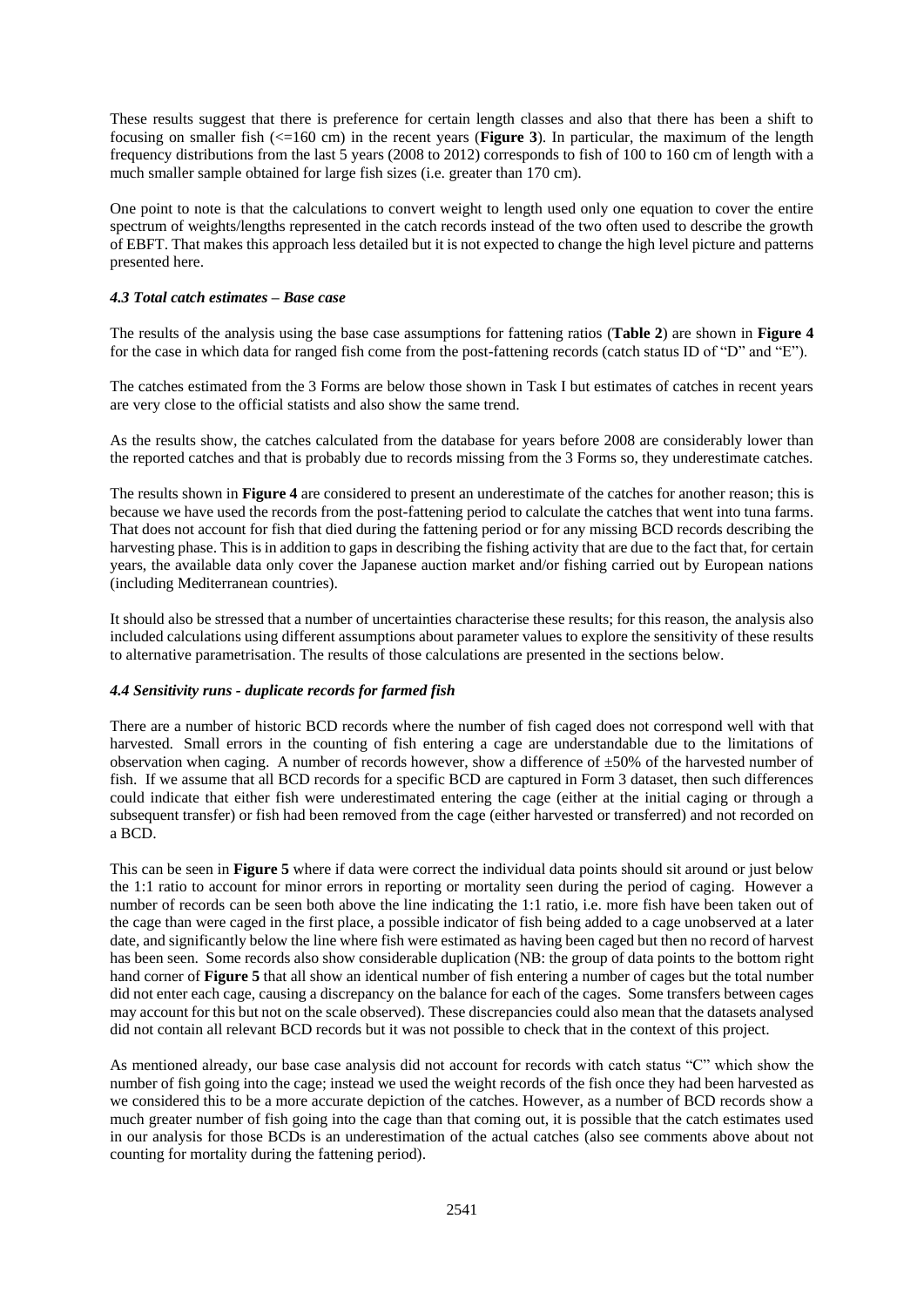These results suggest that there is preference for certain length classes and also that there has been a shift to focusing on smaller fish (<=160 cm) in the recent years (**Figure 3**). In particular, the maximum of the length frequency distributions from the last 5 years (2008 to 2012) corresponds to fish of 100 to 160 cm of length with a much smaller sample obtained for large fish sizes (i.e. greater than 170 cm).

One point to note is that the calculations to convert weight to length used only one equation to cover the entire spectrum of weights/lengths represented in the catch records instead of the two often used to describe the growth of EBFT. That makes this approach less detailed but it is not expected to change the high level picture and patterns presented here.

## *4.3 Total catch estimates – Base case*

The results of the analysis using the base case assumptions for fattening ratios (**Table 2**) are shown in **Figure 4** for the case in which data for ranged fish come from the post-fattening records (catch status ID of "D" and "E").

The catches estimated from the 3 Forms are below those shown in Task I but estimates of catches in recent years are very close to the official statists and also show the same trend.

As the results show, the catches calculated from the database for years before 2008 are considerably lower than the reported catches and that is probably due to records missing from the 3 Forms so, they underestimate catches.

The results shown in **Figure 4** are considered to present an underestimate of the catches for another reason; this is because we have used the records from the post-fattening period to calculate the catches that went into tuna farms. That does not account for fish that died during the fattening period or for any missing BCD records describing the harvesting phase. This is in addition to gaps in describing the fishing activity that are due to the fact that, for certain years, the available data only cover the Japanese auction market and/or fishing carried out by European nations (including Mediterranean countries).

It should also be stressed that a number of uncertainties characterise these results; for this reason, the analysis also included calculations using different assumptions about parameter values to explore the sensitivity of these results to alternative parametrisation. The results of those calculations are presented in the sections below.

#### *4.4 Sensitivity runs - duplicate records for farmed fish*

There are a number of historic BCD records where the number of fish caged does not correspond well with that harvested. Small errors in the counting of fish entering a cage are understandable due to the limitations of observation when caging. A number of records however, show a difference of ±50% of the harvested number of fish. If we assume that all BCD records for a specific BCD are captured in Form 3 dataset, then such differences could indicate that either fish were underestimated entering the cage (either at the initial caging or through a subsequent transfer) or fish had been removed from the cage (either harvested or transferred) and not recorded on a BCD.

This can be seen in **Figure 5** where if data were correct the individual data points should sit around or just below the 1:1 ratio to account for minor errors in reporting or mortality seen during the period of caging. However a number of records can be seen both above the line indicating the 1:1 ratio, i.e. more fish have been taken out of the cage than were caged in the first place, a possible indicator of fish being added to a cage unobserved at a later date, and significantly below the line where fish were estimated as having been caged but then no record of harvest has been seen. Some records also show considerable duplication (NB: the group of data points to the bottom right hand corner of **Figure 5** that all show an identical number of fish entering a number of cages but the total number did not enter each cage, causing a discrepancy on the balance for each of the cages. Some transfers between cages may account for this but not on the scale observed). These discrepancies could also mean that the datasets analysed did not contain all relevant BCD records but it was not possible to check that in the context of this project.

As mentioned already, our base case analysis did not account for records with catch status "C" which show the number of fish going into the cage; instead we used the weight records of the fish once they had been harvested as we considered this to be a more accurate depiction of the catches. However, as a number of BCD records show a much greater number of fish going into the cage than that coming out, it is possible that the catch estimates used in our analysis for those BCDs is an underestimation of the actual catches (also see comments above about not counting for mortality during the fattening period).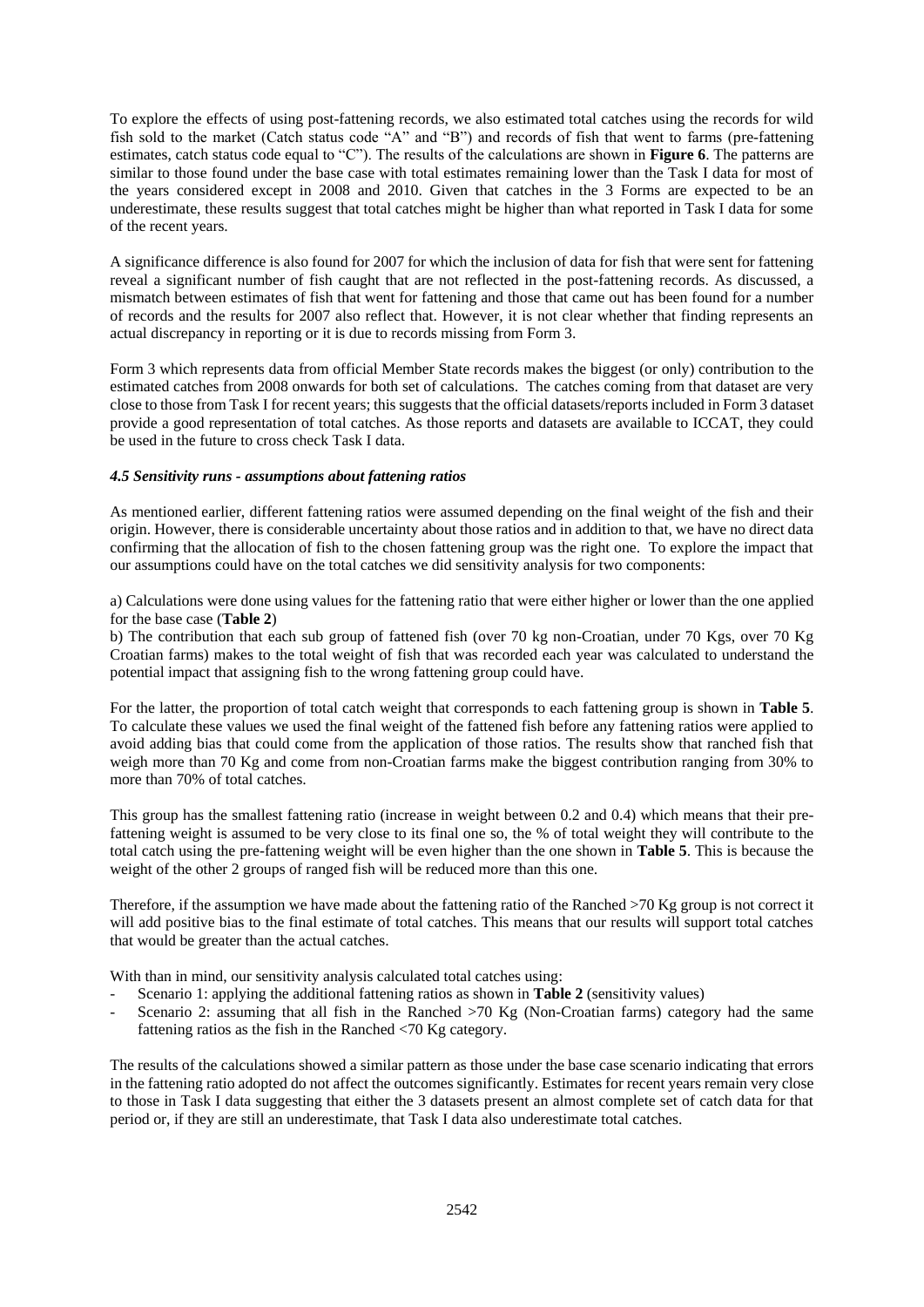To explore the effects of using post-fattening records, we also estimated total catches using the records for wild fish sold to the market (Catch status code "A" and "B") and records of fish that went to farms (pre-fattening estimates, catch status code equal to "C"). The results of the calculations are shown in **Figure 6**. The patterns are similar to those found under the base case with total estimates remaining lower than the Task I data for most of the years considered except in 2008 and 2010. Given that catches in the 3 Forms are expected to be an underestimate, these results suggest that total catches might be higher than what reported in Task I data for some of the recent years.

A significance difference is also found for 2007 for which the inclusion of data for fish that were sent for fattening reveal a significant number of fish caught that are not reflected in the post-fattening records. As discussed, a mismatch between estimates of fish that went for fattening and those that came out has been found for a number of records and the results for 2007 also reflect that. However, it is not clear whether that finding represents an actual discrepancy in reporting or it is due to records missing from Form 3.

Form 3 which represents data from official Member State records makes the biggest (or only) contribution to the estimated catches from 2008 onwards for both set of calculations. The catches coming from that dataset are very close to those from Task I for recent years; this suggests that the official datasets/reports included in Form 3 dataset provide a good representation of total catches. As those reports and datasets are available to ICCAT, they could be used in the future to cross check Task I data.

#### *4.5 Sensitivity runs - assumptions about fattening ratios*

As mentioned earlier, different fattening ratios were assumed depending on the final weight of the fish and their origin. However, there is considerable uncertainty about those ratios and in addition to that, we have no direct data confirming that the allocation of fish to the chosen fattening group was the right one. To explore the impact that our assumptions could have on the total catches we did sensitivity analysis for two components:

a) Calculations were done using values for the fattening ratio that were either higher or lower than the one applied for the base case (**Table 2**)

b) The contribution that each sub group of fattened fish (over 70 kg non-Croatian, under 70 Kgs, over 70 Kg Croatian farms) makes to the total weight of fish that was recorded each year was calculated to understand the potential impact that assigning fish to the wrong fattening group could have.

For the latter, the proportion of total catch weight that corresponds to each fattening group is shown in **Table 5**. To calculate these values we used the final weight of the fattened fish before any fattening ratios were applied to avoid adding bias that could come from the application of those ratios. The results show that ranched fish that weigh more than 70 Kg and come from non-Croatian farms make the biggest contribution ranging from 30% to more than 70% of total catches.

This group has the smallest fattening ratio (increase in weight between 0.2 and 0.4) which means that their prefattening weight is assumed to be very close to its final one so, the % of total weight they will contribute to the total catch using the pre-fattening weight will be even higher than the one shown in **Table 5**. This is because the weight of the other 2 groups of ranged fish will be reduced more than this one.

Therefore, if the assumption we have made about the fattening ratio of the Ranched >70 Kg group is not correct it will add positive bias to the final estimate of total catches. This means that our results will support total catches that would be greater than the actual catches.

With than in mind, our sensitivity analysis calculated total catches using:

- Scenario 1: applying the additional fattening ratios as shown in **Table 2** (sensitivity values)
- Scenario 2: assuming that all fish in the Ranched >70 Kg (Non-Croatian farms) category had the same fattening ratios as the fish in the Ranched <70 Kg category.

The results of the calculations showed a similar pattern as those under the base case scenario indicating that errors in the fattening ratio adopted do not affect the outcomes significantly. Estimates for recent years remain very close to those in Task I data suggesting that either the 3 datasets present an almost complete set of catch data for that period or, if they are still an underestimate, that Task I data also underestimate total catches.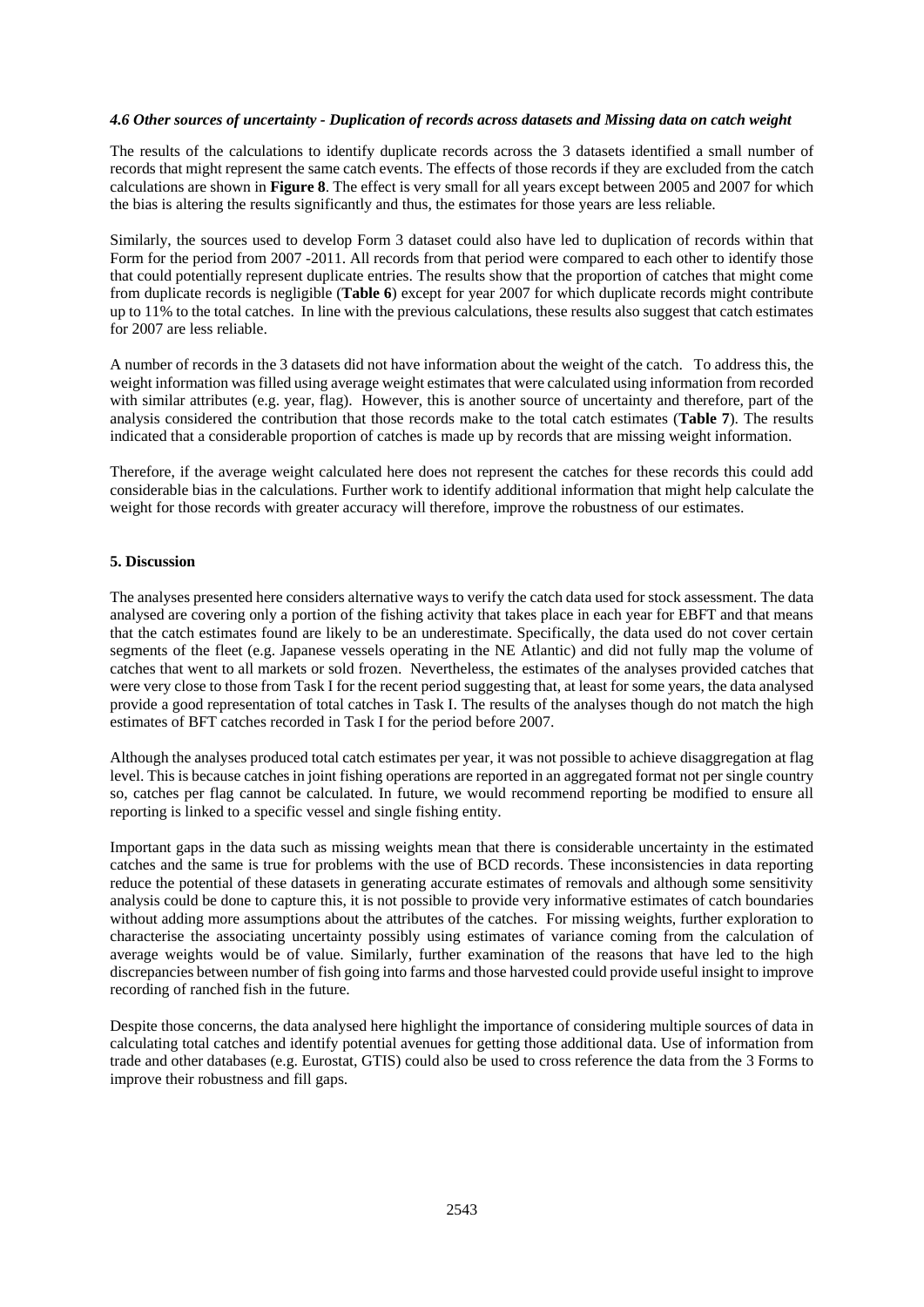#### *4.6 Other sources of uncertainty - Duplication of records across datasets and Missing data on catch weight*

The results of the calculations to identify duplicate records across the 3 datasets identified a small number of records that might represent the same catch events. The effects of those records if they are excluded from the catch calculations are shown in **Figure 8**. The effect is very small for all years except between 2005 and 2007 for which the bias is altering the results significantly and thus, the estimates for those years are less reliable.

Similarly, the sources used to develop Form 3 dataset could also have led to duplication of records within that Form for the period from 2007 -2011. All records from that period were compared to each other to identify those that could potentially represent duplicate entries. The results show that the proportion of catches that might come from duplicate records is negligible (**Table 6**) except for year 2007 for which duplicate records might contribute up to 11% to the total catches. In line with the previous calculations, these results also suggest that catch estimates for 2007 are less reliable.

A number of records in the 3 datasets did not have information about the weight of the catch. To address this, the weight information was filled using average weight estimates that were calculated using information from recorded with similar attributes (e.g. year, flag). However, this is another source of uncertainty and therefore, part of the analysis considered the contribution that those records make to the total catch estimates (**Table 7**). The results indicated that a considerable proportion of catches is made up by records that are missing weight information.

Therefore, if the average weight calculated here does not represent the catches for these records this could add considerable bias in the calculations. Further work to identify additional information that might help calculate the weight for those records with greater accuracy will therefore, improve the robustness of our estimates.

#### **5. Discussion**

The analyses presented here considers alternative ways to verify the catch data used for stock assessment. The data analysed are covering only a portion of the fishing activity that takes place in each year for EBFT and that means that the catch estimates found are likely to be an underestimate. Specifically, the data used do not cover certain segments of the fleet (e.g. Japanese vessels operating in the NE Atlantic) and did not fully map the volume of catches that went to all markets or sold frozen. Nevertheless, the estimates of the analyses provided catches that were very close to those from Task I for the recent period suggesting that, at least for some years, the data analysed provide a good representation of total catches in Task I. The results of the analyses though do not match the high estimates of BFT catches recorded in Task I for the period before 2007.

Although the analyses produced total catch estimates per year, it was not possible to achieve disaggregation at flag level. This is because catches in joint fishing operations are reported in an aggregated format not per single country so, catches per flag cannot be calculated. In future, we would recommend reporting be modified to ensure all reporting is linked to a specific vessel and single fishing entity.

Important gaps in the data such as missing weights mean that there is considerable uncertainty in the estimated catches and the same is true for problems with the use of BCD records. These inconsistencies in data reporting reduce the potential of these datasets in generating accurate estimates of removals and although some sensitivity analysis could be done to capture this, it is not possible to provide very informative estimates of catch boundaries without adding more assumptions about the attributes of the catches. For missing weights, further exploration to characterise the associating uncertainty possibly using estimates of variance coming from the calculation of average weights would be of value. Similarly, further examination of the reasons that have led to the high discrepancies between number of fish going into farms and those harvested could provide useful insight to improve recording of ranched fish in the future.

Despite those concerns, the data analysed here highlight the importance of considering multiple sources of data in calculating total catches and identify potential avenues for getting those additional data. Use of information from trade and other databases (e.g. Eurostat, GTIS) could also be used to cross reference the data from the 3 Forms to improve their robustness and fill gaps.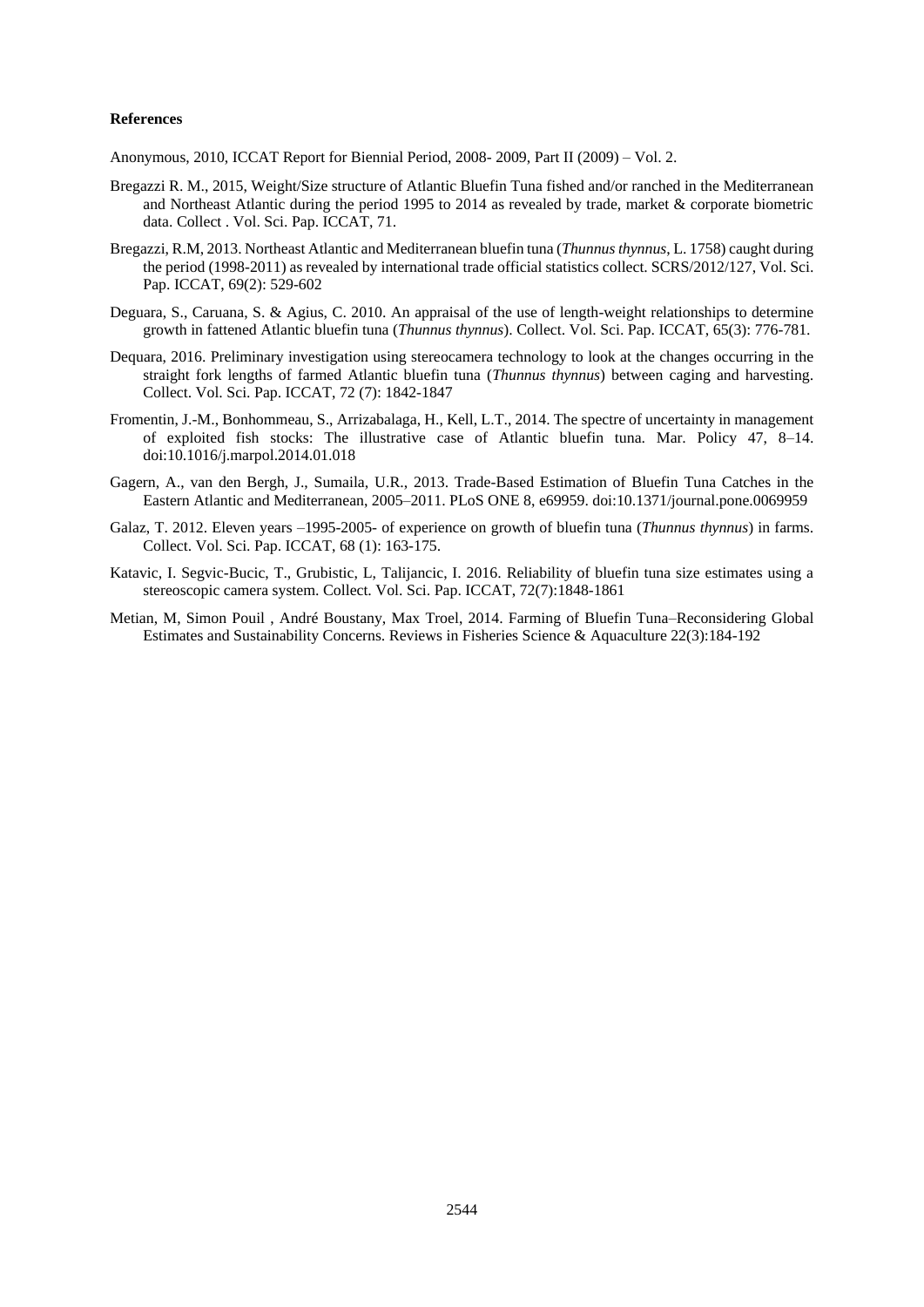#### **References**

Anonymous, 2010, ICCAT Report for Biennial Period, 2008- 2009, Part II (2009) – Vol. 2.

- Bregazzi R. M., 2015, Weight/Size structure of Atlantic Bluefin Tuna fished and/or ranched in the Mediterranean and Northeast Atlantic during the period 1995 to 2014 as revealed by trade, market & corporate biometric data. Collect . Vol. Sci. Pap. ICCAT, 71.
- Bregazzi, R.M, 2013. Northeast Atlantic and Mediterranean bluefin tuna (*Thunnus thynnus*, L. 1758) caught during the period (1998-2011) as revealed by international trade official statistics collect. SCRS/2012/127, Vol. Sci. Pap. ICCAT, 69(2): 529-602
- Deguara, S., Caruana, S. & Agius, C. 2010. An appraisal of the use of length-weight relationships to determine growth in fattened Atlantic bluefin tuna (*Thunnus thynnus*). Collect. Vol. Sci. Pap. ICCAT, 65(3): 776-781.
- Dequara, 2016. Preliminary investigation using stereocamera technology to look at the changes occurring in the straight fork lengths of farmed Atlantic bluefin tuna (*Thunnus thynnus*) between caging and harvesting. Collect. Vol. Sci. Pap. ICCAT, 72 (7): 1842-1847
- Fromentin, J.-M., Bonhommeau, S., Arrizabalaga, H., Kell, L.T., 2014. The spectre of uncertainty in management of exploited fish stocks: The illustrative case of Atlantic bluefin tuna. Mar. Policy 47, 8–14. doi:10.1016/j.marpol.2014.01.018
- Gagern, A., van den Bergh, J., Sumaila, U.R., 2013. Trade-Based Estimation of Bluefin Tuna Catches in the Eastern Atlantic and Mediterranean, 2005–2011. PLoS ONE 8, e69959. doi:10.1371/journal.pone.0069959
- Galaz, T. 2012. Eleven years –1995-2005- of experience on growth of bluefin tuna (*Thunnus thynnus*) in farms. Collect. Vol. Sci. Pap. ICCAT, 68 (1): 163-175.
- Katavic, I. Segvic-Bucic, T., Grubistic, L, Talijancic, I. 2016. Reliability of bluefin tuna size estimates using a stereoscopic camera system. Collect. Vol. Sci. Pap. ICCAT, 72(7):1848-1861
- Metian, M, Simon Pouil , André Boustany, Max Troel, 2014. Farming of Bluefin Tuna–Reconsidering Global Estimates and Sustainability Concerns. Reviews in Fisheries Science & Aquaculture 22(3):184-192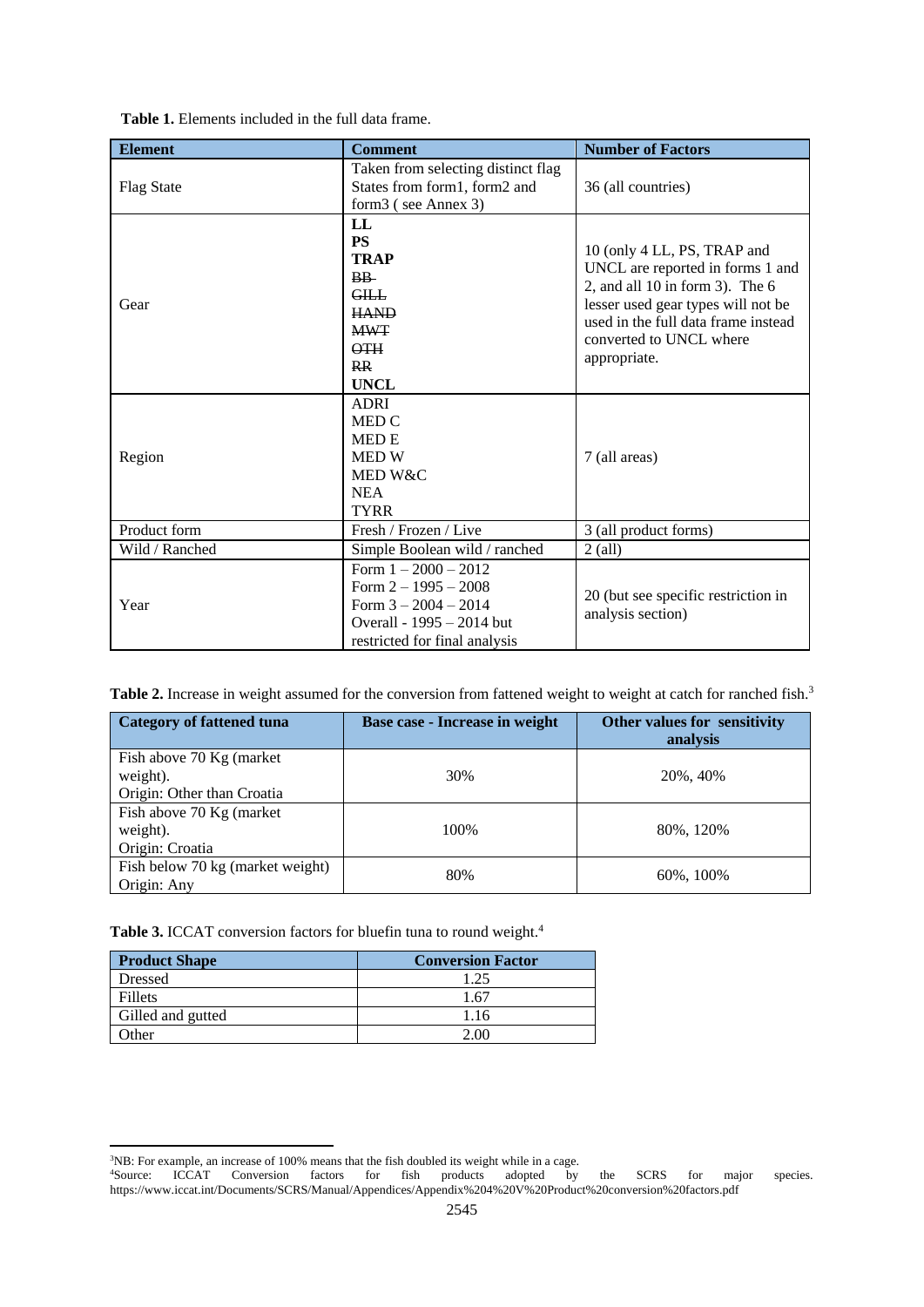**Table 1.** Elements included in the full data frame.

| <b>Element</b>                                                                                                                      | <b>Comment</b>                                                                                                                           | <b>Number of Factors</b>                                                                                                                                                                                                     |
|-------------------------------------------------------------------------------------------------------------------------------------|------------------------------------------------------------------------------------------------------------------------------------------|------------------------------------------------------------------------------------------------------------------------------------------------------------------------------------------------------------------------------|
| <b>Flag State</b>                                                                                                                   | Taken from selecting distinct flag<br>States from form1, form2 and<br>form3 (see Annex 3)                                                | 36 (all countries)                                                                                                                                                                                                           |
| LL<br><b>PS</b><br><b>TRAP</b><br>$BB -$<br><b>GILL</b><br>Gear<br><b>HAND</b><br><b>MWT</b><br>$\overline{H}$<br>RR<br><b>UNCL</b> |                                                                                                                                          | 10 (only 4 LL, PS, TRAP and<br>UNCL are reported in forms 1 and<br>2, and all 10 in form 3). The $6$<br>lesser used gear types will not be<br>used in the full data frame instead<br>converted to UNCL where<br>appropriate. |
| Region                                                                                                                              | <b>ADRI</b><br><b>MED C</b><br><b>MEDE</b><br><b>MEDW</b><br>MED W&C<br><b>NEA</b><br><b>TYRR</b>                                        | 7 (all areas)                                                                                                                                                                                                                |
| Product form                                                                                                                        | Fresh / Frozen / Live                                                                                                                    | 3 (all product forms)                                                                                                                                                                                                        |
| Wild / Ranched                                                                                                                      | Simple Boolean wild / ranched                                                                                                            | $2$ (all)                                                                                                                                                                                                                    |
| Year                                                                                                                                | Form $1 - 2000 - 2012$<br>Form $2 - 1995 - 2008$<br>Form $3 - 2004 - 2014$<br>Overall - 1995 – 2014 but<br>restricted for final analysis | 20 (but see specific restriction in<br>analysis section)                                                                                                                                                                     |

Table 2. Increase in weight assumed for the conversion from fattened weight to weight at catch for ranched fish.<sup>3</sup>

| <b>Category of fattened tuna</b>                                    | Base case - Increase in weight | Other values for sensitivity<br>analysis |
|---------------------------------------------------------------------|--------------------------------|------------------------------------------|
| Fish above 70 Kg (market)<br>weight).<br>Origin: Other than Croatia | 30%                            | 20%, 40%                                 |
| Fish above 70 Kg (market)<br>weight).<br>Origin: Croatia            | 100%                           | 80%, 120%                                |
| Fish below 70 kg (market weight)<br>Origin: Any                     | 80%                            | 60%, 100%                                |

Table 3. ICCAT conversion factors for bluefin tuna to round weight.<sup>4</sup>

| <b>Product Shape</b> | <b>Conversion Factor</b> |
|----------------------|--------------------------|
| <b>Dressed</b>       | 1.25                     |
| <b>Fillets</b>       | 1.67                     |
| Gilled and gutted    | 1.16                     |
| Other                | 2.00                     |

**.** 

<sup>&</sup>lt;sup>3</sup>NB: For example, an increase of 100% means that the fish doubled its weight while in a cage.

<sup>4</sup>Source: ICCAT Conversion factors for fish products adopted by the SCRS for major species. <https://www.iccat.int/Documents/SCRS/Manual/Appendices/Appendix%204%20V%20Product%20conversion%20factors.pdf>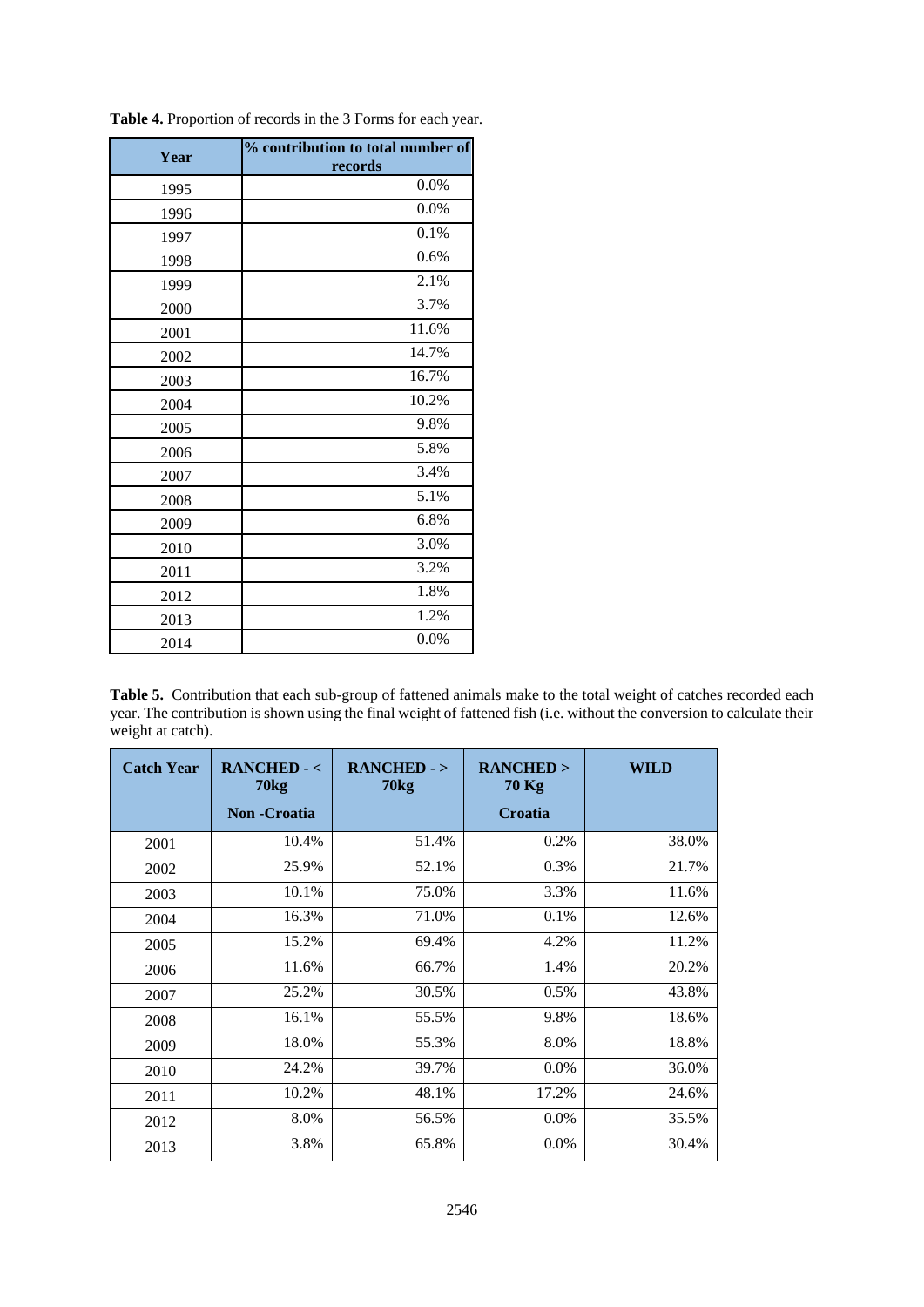| Year | % contribution to total number of<br>records |
|------|----------------------------------------------|
| 1995 | 0.0%                                         |
| 1996 | 0.0%                                         |
| 1997 | 0.1%                                         |
| 1998 | 0.6%                                         |
| 1999 | 2.1%                                         |
| 2000 | 3.7%                                         |
| 2001 | 11.6%                                        |
| 2002 | 14.7%                                        |
| 2003 | 16.7%                                        |
| 2004 | 10.2%                                        |
| 2005 | 9.8%                                         |
| 2006 | 5.8%                                         |
| 2007 | 3.4%                                         |
| 2008 | 5.1%                                         |
| 2009 | 6.8%                                         |
| 2010 | 3.0%                                         |
| 2011 | 3.2%                                         |
| 2012 | 1.8%                                         |
| 2013 | 1.2%                                         |
| 2014 | $0.0\%$                                      |

**Table 4.** Proportion of records in the 3 Forms for each year.

|                   | Table 5. Contribution that each sub-group of fattened animals make to the total weight of catches recorded each         |  |
|-------------------|-------------------------------------------------------------------------------------------------------------------------|--|
|                   | year. The contribution is shown using the final weight of fattened fish (i.e. without the conversion to calculate their |  |
| weight at catch). |                                                                                                                         |  |

| <b>Catch Year</b> | <b>RANCHED-<br/> &lt;</b><br><b>70kg</b> | <b>RANCHED-&gt;</b><br><b>70kg</b> | <b>RANCHED&gt;</b><br><b>70 Kg</b> | WILD  |
|-------------------|------------------------------------------|------------------------------------|------------------------------------|-------|
|                   | <b>Non</b> -Croatia                      |                                    | Croatia                            |       |
| 2001              | 10.4%                                    | 51.4%                              | 0.2%                               | 38.0% |
| 2002              | 25.9%                                    | 52.1%                              | 0.3%                               | 21.7% |
| 2003              | 10.1%                                    | 75.0%                              | 3.3%                               | 11.6% |
| 2004              | 16.3%                                    | 71.0%                              | 0.1%                               | 12.6% |
| 2005              | 15.2%                                    | 69.4%                              | 4.2%                               | 11.2% |
| 2006              | 11.6%                                    | 66.7%                              | 1.4%                               | 20.2% |
| 2007              | 25.2%                                    | 30.5%                              | 0.5%                               | 43.8% |
| 2008              | 16.1%                                    | 55.5%                              | 9.8%                               | 18.6% |
| 2009              | 18.0%                                    | 55.3%                              | 8.0%                               | 18.8% |
| 2010              | 24.2%                                    | 39.7%                              | $0.0\%$                            | 36.0% |
| 2011              | 10.2%                                    | 48.1%                              | 17.2%                              | 24.6% |
| 2012              | 8.0%                                     | 56.5%                              | $0.0\%$                            | 35.5% |
| 2013              | 3.8%                                     | 65.8%                              | 0.0%                               | 30.4% |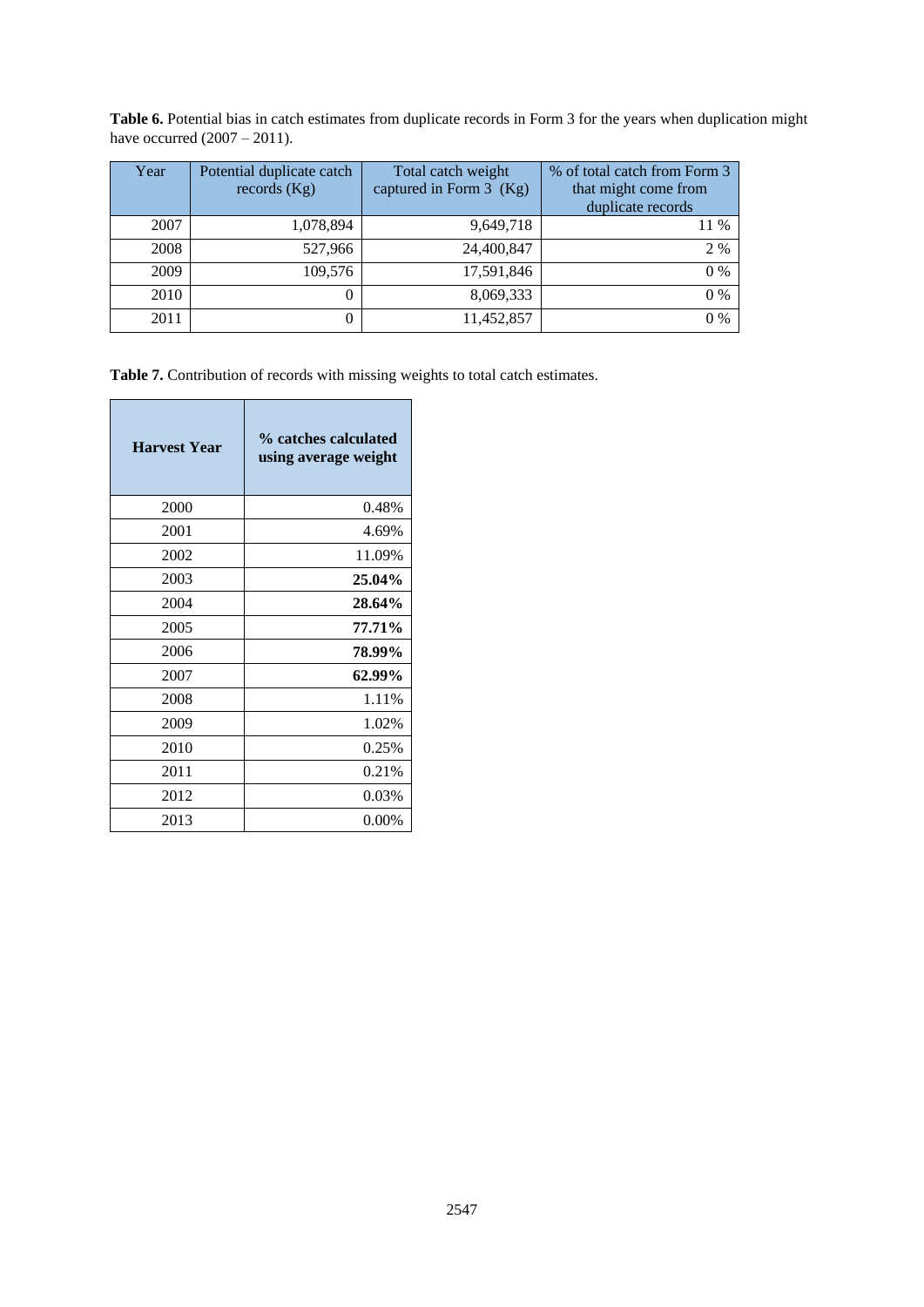**Table 6.** Potential bias in catch estimates from duplicate records in Form 3 for the years when duplication might have occurred  $(2007 - 2011)$ .

| Year | Potential duplicate catch<br>records $(Kg)$ | Total catch weight<br>captured in Form $3$ (Kg) | % of total catch from Form 3<br>that might come from<br>duplicate records |
|------|---------------------------------------------|-------------------------------------------------|---------------------------------------------------------------------------|
| 2007 | 1,078,894                                   | 9,649,718                                       | 11 %                                                                      |
| 2008 | 527,966                                     | 24,400,847                                      | 2 %                                                                       |
| 2009 | 109,576                                     | 17,591,846                                      | $0\%$                                                                     |
| 2010 | O                                           | 8,069,333                                       | $0\%$                                                                     |
| 2011 | 0                                           | 11,452,857                                      | $0\%$                                                                     |

**Table 7.** Contribution of records with missing weights to total catch estimates.

| <b>Harvest Year</b> | % catches calculated<br>using average weight |
|---------------------|----------------------------------------------|
| 2000                | 0.48%                                        |
| 2001                | 4.69%                                        |
| 2002                | 11.09%                                       |
| 2003                | 25.04%                                       |
| 2004                | 28.64%                                       |
| 2005                | 77.71%                                       |
| 2006                | 78.99%                                       |
| 2007                | 62.99%                                       |
| 2008                | 1.11%                                        |
| 2009                | 1.02%                                        |
| 2010                | 0.25%                                        |
| 2011                | 0.21%                                        |
| 2012                | 0.03%                                        |
| 2013                | 0.00%                                        |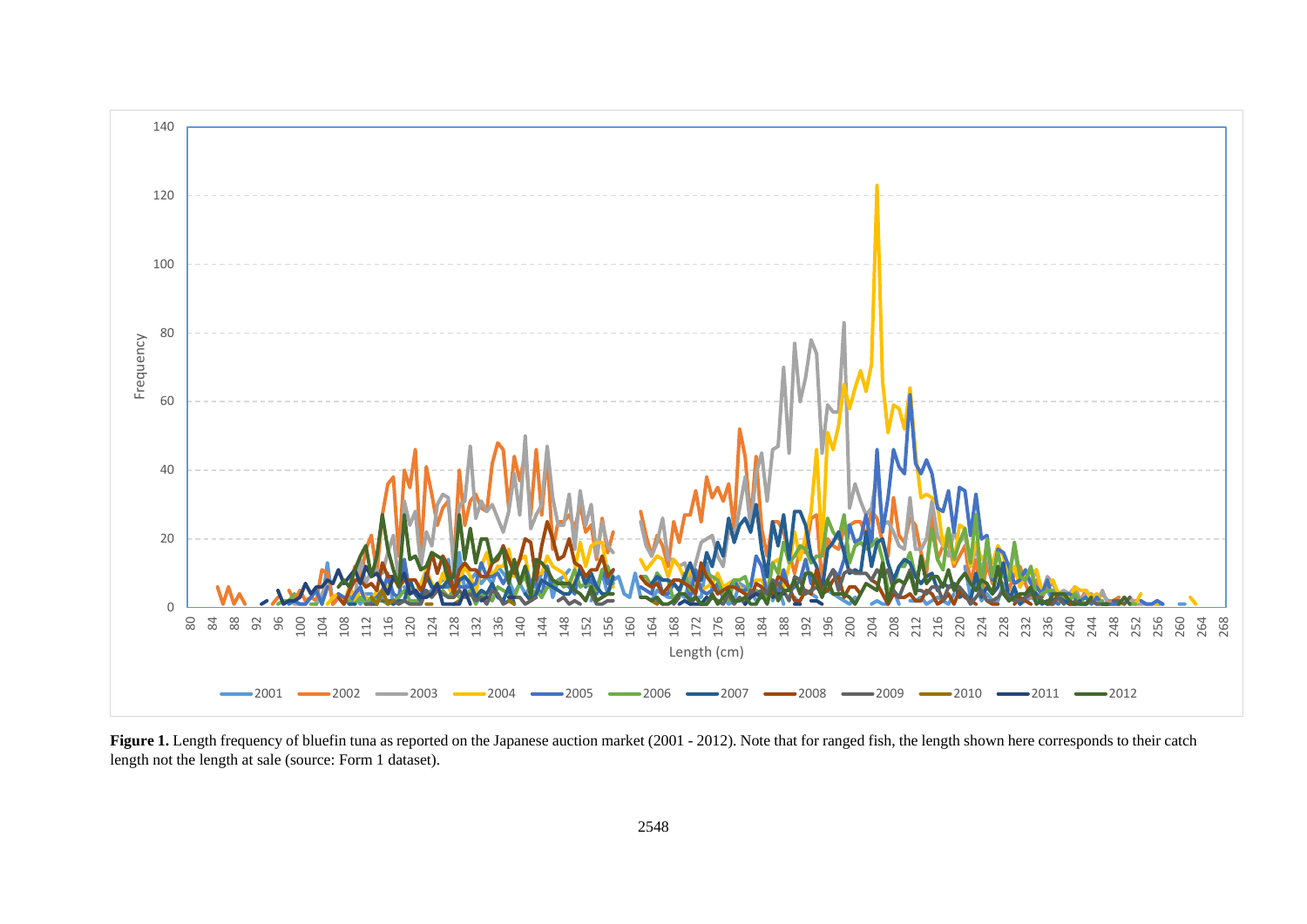

Figure 1. Length frequency of bluefin tuna as reported on the Japanese auction market (2001 - 2012). Note that for ranged fish, the length shown here corresponds to their catch length not the length at sale (source: Form 1 dataset).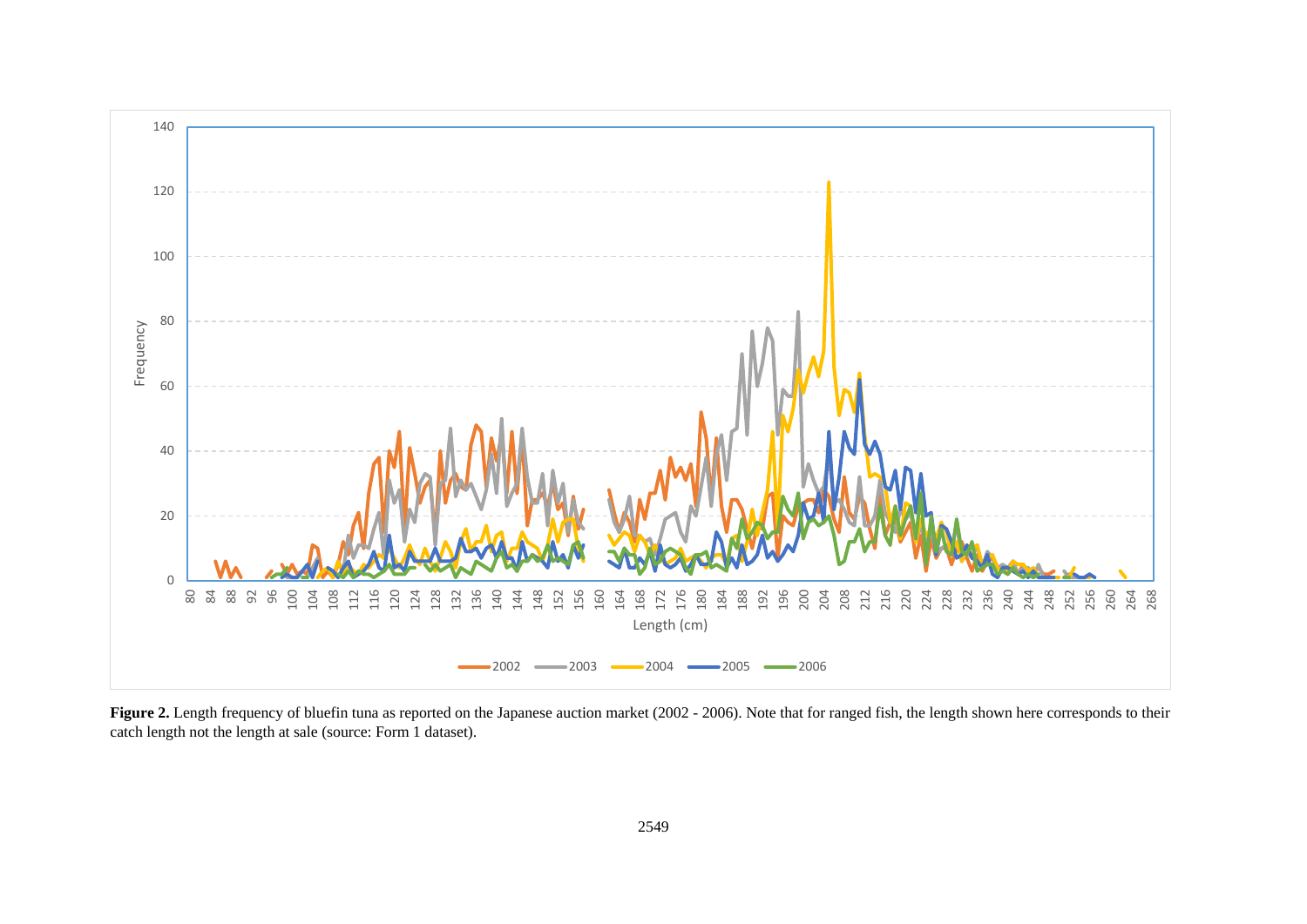

Figure 2. Length frequency of bluefin tuna as reported on the Japanese auction market (2002 - 2006). Note that for ranged fish, the length shown here corresponds to their catch length not the length at sale (source: Form 1 dataset).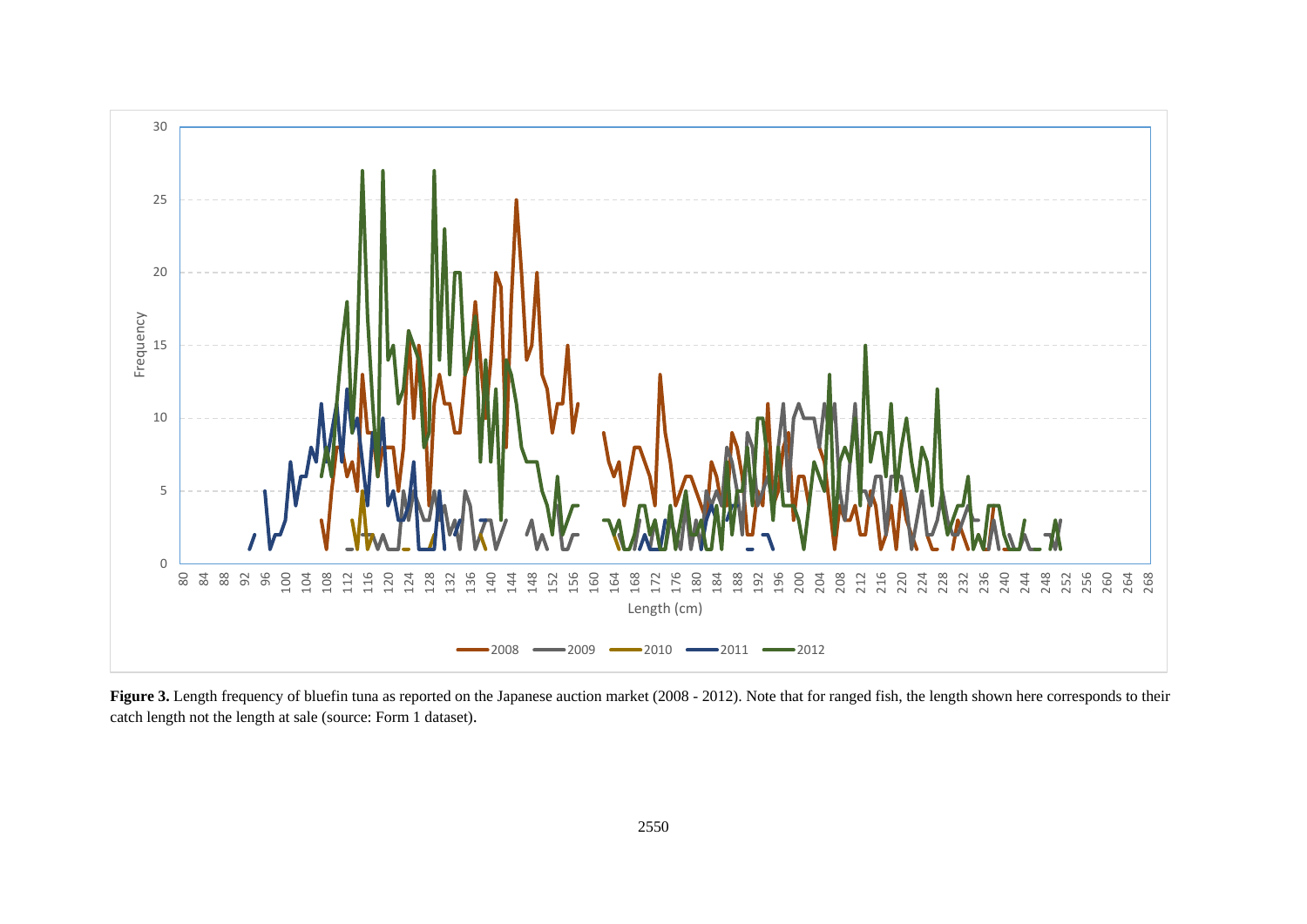

Figure 3. Length frequency of bluefin tuna as reported on the Japanese auction market (2008 - 2012). Note that for ranged fish, the length shown here corresponds to their catch length not the length at sale (source: Form 1 dataset).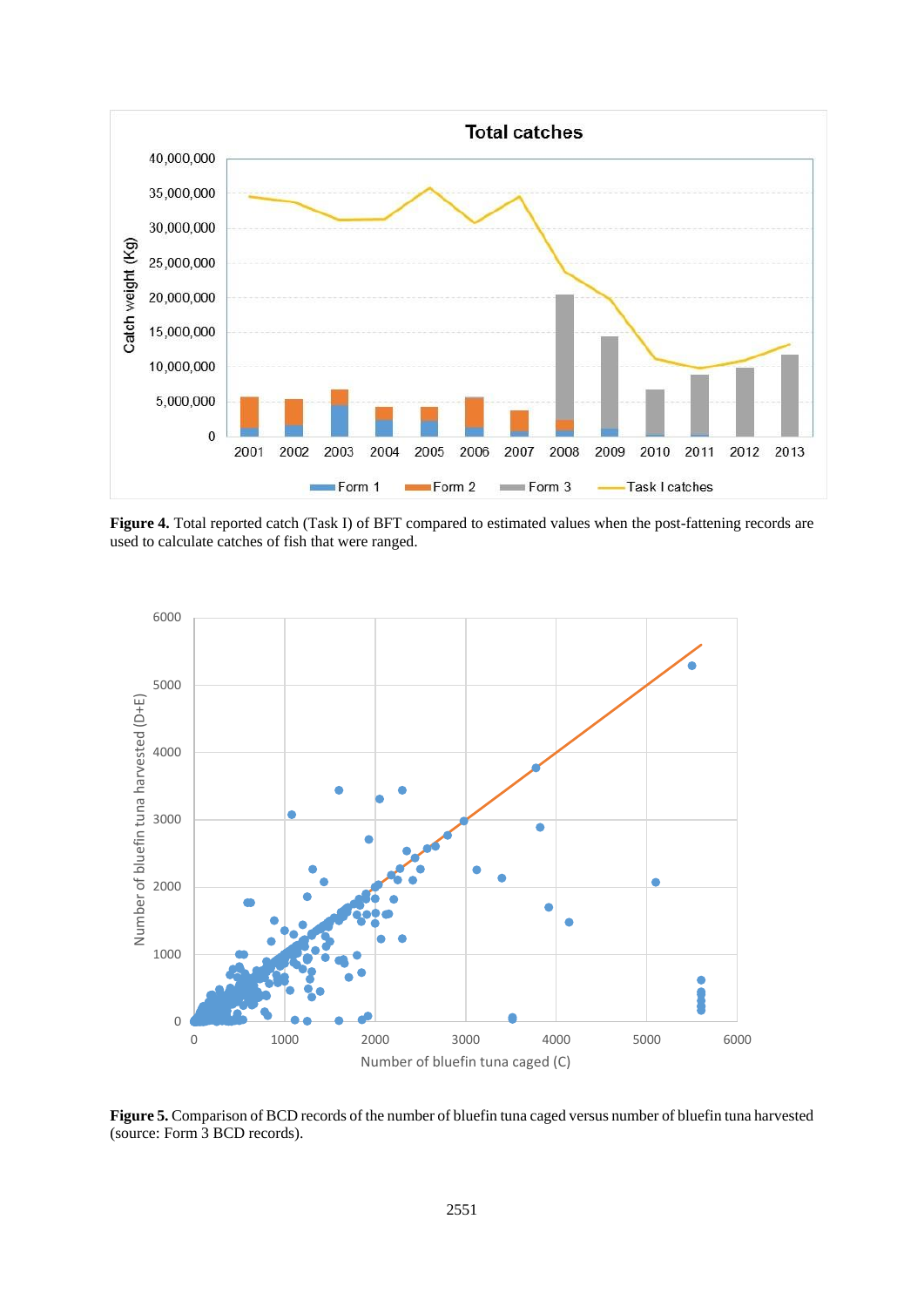

**Figure 4.** Total reported catch (Task I) of BFT compared to estimated values when the post-fattening records are used to calculate catches of fish that were ranged.



**Figure 5.** Comparison of BCD records of the number of bluefin tuna caged versus number of bluefin tuna harvested (source: Form 3 BCD records).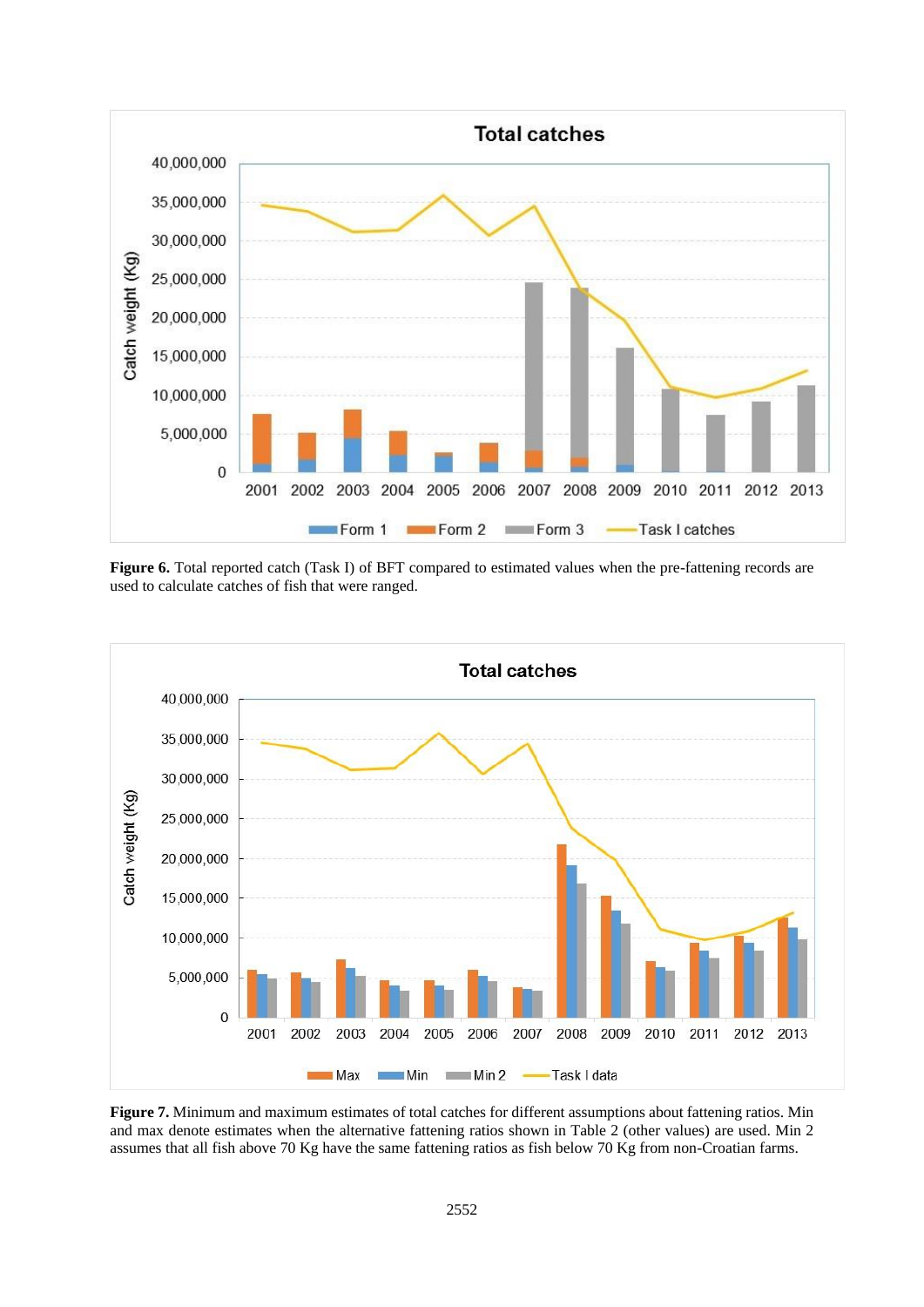

Figure 6. Total reported catch (Task I) of BFT compared to estimated values when the pre-fattening records are used to calculate catches of fish that were ranged.



**Figure 7.** Minimum and maximum estimates of total catches for different assumptions about fattening ratios. Min and max denote estimates when the alternative fattening ratios shown in Table 2 (other values) are used. Min 2 assumes that all fish above 70 Kg have the same fattening ratios as fish below 70 Kg from non-Croatian farms.